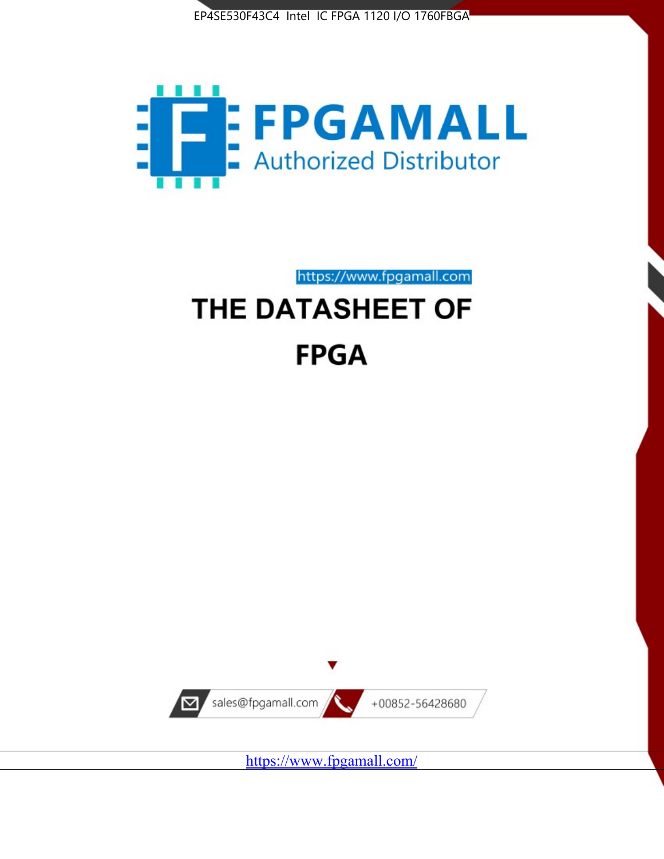



# https://www.fpgamall.com THE DATASHEET OF

# **FPGA**



<https://www.fpgamall.com/>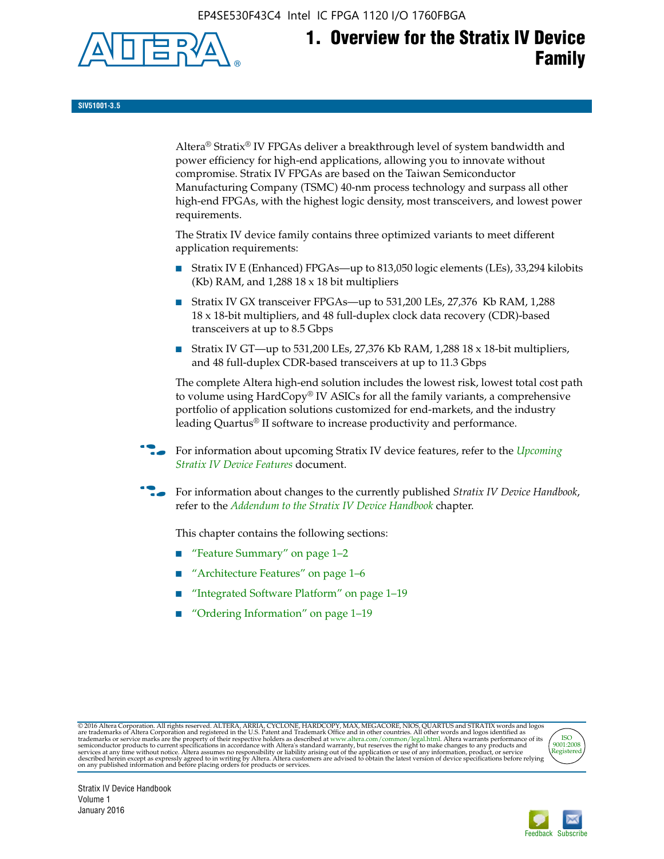EP4SE530F43C4 Intel IC FPGA 1120 I/O 1760FBGA



# **1. Overview for the Stratix IV Device Family**

**SIV51001-3.5**

Altera® Stratix® IV FPGAs deliver a breakthrough level of system bandwidth and power efficiency for high-end applications, allowing you to innovate without compromise. Stratix IV FPGAs are based on the Taiwan Semiconductor Manufacturing Company (TSMC) 40-nm process technology and surpass all other high-end FPGAs, with the highest logic density, most transceivers, and lowest power requirements.

The Stratix IV device family contains three optimized variants to meet different application requirements:

- Stratix IV E (Enhanced) FPGAs—up to 813,050 logic elements (LEs), 33,294 kilobits (Kb) RAM, and 1,288 18 x 18 bit multipliers
- Stratix IV GX transceiver FPGAs—up to 531,200 LEs, 27,376 Kb RAM, 1,288 18 x 18-bit multipliers, and 48 full-duplex clock data recovery (CDR)-based transceivers at up to 8.5 Gbps
- Stratix IV GT—up to 531,200 LEs, 27,376 Kb RAM, 1,288 18 x 18-bit multipliers, and 48 full-duplex CDR-based transceivers at up to 11.3 Gbps

The complete Altera high-end solution includes the lowest risk, lowest total cost path to volume using HardCopy® IV ASICs for all the family variants, a comprehensive portfolio of application solutions customized for end-markets, and the industry leading Quartus® II software to increase productivity and performance.

For information about upcoming Stratix IV device features, refer to the *Upcoming [Stratix IV Device Features](http://www.altera.com/literature/hb/stratix-iv/uf01001.pdf?GSA_pos=2&WT.oss_r=1&WT.oss=upcoming)* document.

f For information about changes to the currently published *Stratix IV Device Handbook*, refer to the *[Addendum to the Stratix IV Device Handbook](http://www.altera.com/literature/hb/stratix-iv/stx4_siv54002.pdf)* chapter.

This chapter contains the following sections:

- "Feature Summary" on page 1–2
- "Architecture Features" on page 1–6
- "Integrated Software Platform" on page 1–19
- "Ordering Information" on page 1–19

@2016 Altera Corporation. All rights reserved. ALTERA, ARRIA, CYCLONE, HARDCOPY, MAX, MEGACORE, NIOS, QUARTUS and STRATIX words and logos are trademarks of Altera Corporation and registered in the U.S. Patent and Trademark



Stratix IV Device Handbook Volume 1 January 2016

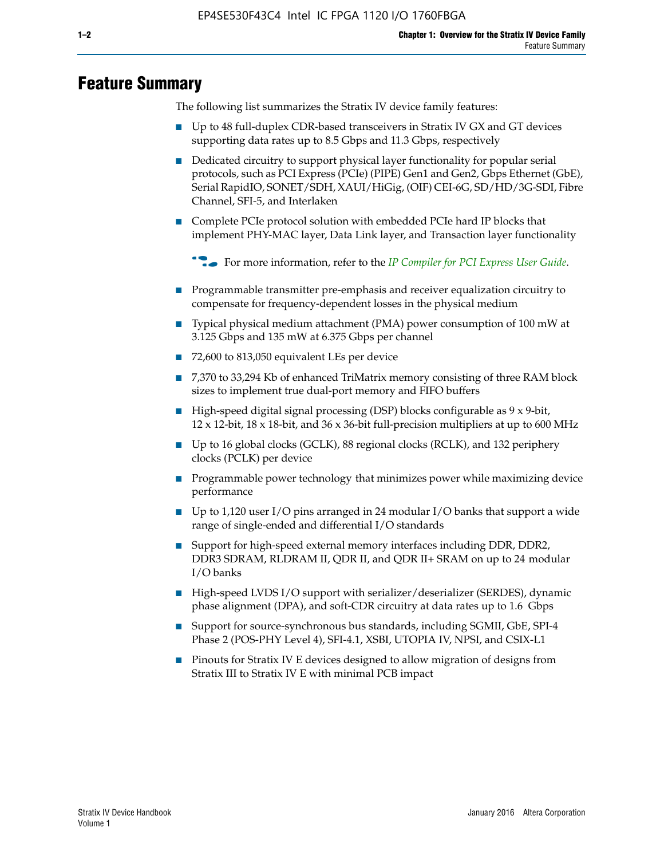# **Feature Summary**

The following list summarizes the Stratix IV device family features:

- Up to 48 full-duplex CDR-based transceivers in Stratix IV GX and GT devices supporting data rates up to 8.5 Gbps and 11.3 Gbps, respectively
- Dedicated circuitry to support physical layer functionality for popular serial protocols, such as PCI Express (PCIe) (PIPE) Gen1 and Gen2, Gbps Ethernet (GbE), Serial RapidIO, SONET/SDH, XAUI/HiGig, (OIF) CEI-6G, SD/HD/3G-SDI, Fibre Channel, SFI-5, and Interlaken
- Complete PCIe protocol solution with embedded PCIe hard IP blocks that implement PHY-MAC layer, Data Link layer, and Transaction layer functionality

**For more information, refer to the** *[IP Compiler for PCI Express User Guide](http://www.altera.com/literature/ug/ug_pci_express.pdf)***.** 

- Programmable transmitter pre-emphasis and receiver equalization circuitry to compensate for frequency-dependent losses in the physical medium
- Typical physical medium attachment (PMA) power consumption of 100 mW at 3.125 Gbps and 135 mW at 6.375 Gbps per channel
- 72,600 to 813,050 equivalent LEs per device
- 7,370 to 33,294 Kb of enhanced TriMatrix memory consisting of three RAM block sizes to implement true dual-port memory and FIFO buffers
- High-speed digital signal processing (DSP) blocks configurable as 9 x 9-bit,  $12 \times 12$ -bit,  $18 \times 18$ -bit, and  $36 \times 36$ -bit full-precision multipliers at up to 600 MHz
- Up to 16 global clocks (GCLK), 88 regional clocks (RCLK), and 132 periphery clocks (PCLK) per device
- Programmable power technology that minimizes power while maximizing device performance
- Up to 1,120 user I/O pins arranged in 24 modular I/O banks that support a wide range of single-ended and differential I/O standards
- Support for high-speed external memory interfaces including DDR, DDR2, DDR3 SDRAM, RLDRAM II, QDR II, and QDR II+ SRAM on up to 24 modular I/O banks
- High-speed LVDS I/O support with serializer/deserializer (SERDES), dynamic phase alignment (DPA), and soft-CDR circuitry at data rates up to 1.6 Gbps
- Support for source-synchronous bus standards, including SGMII, GbE, SPI-4 Phase 2 (POS-PHY Level 4), SFI-4.1, XSBI, UTOPIA IV, NPSI, and CSIX-L1
- Pinouts for Stratix IV E devices designed to allow migration of designs from Stratix III to Stratix IV E with minimal PCB impact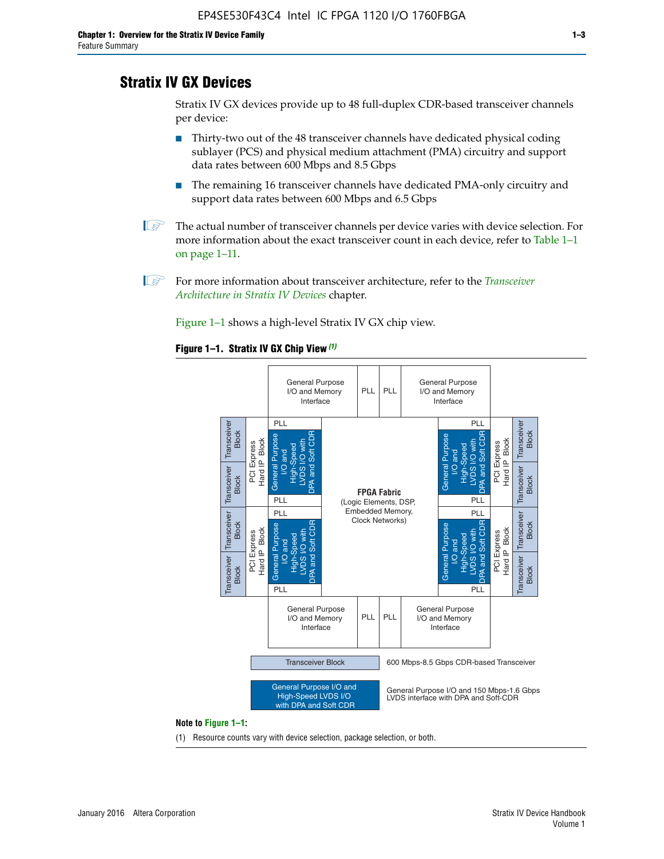# **Stratix IV GX Devices**

Stratix IV GX devices provide up to 48 full-duplex CDR-based transceiver channels per device:

- Thirty-two out of the 48 transceiver channels have dedicated physical coding sublayer (PCS) and physical medium attachment (PMA) circuitry and support data rates between 600 Mbps and 8.5 Gbps
- The remaining 16 transceiver channels have dedicated PMA-only circuitry and support data rates between 600 Mbps and 6.5 Gbps
- **1 The actual number of transceiver channels per device varies with device selection. For** more information about the exact transceiver count in each device, refer to Table 1–1 on page 1–11.
- 1 For more information about transceiver architecture, refer to the *[Transceiver](http://www.altera.com/literature/hb/stratix-iv/stx4_siv52001.pdf)  [Architecture in Stratix IV Devices](http://www.altera.com/literature/hb/stratix-iv/stx4_siv52001.pdf)* chapter.

Figure 1–1 shows a high-level Stratix IV GX chip view.

#### **Figure 1–1. Stratix IV GX Chip View** *(1)*



#### **Note to Figure 1–1:**

(1) Resource counts vary with device selection, package selection, or both.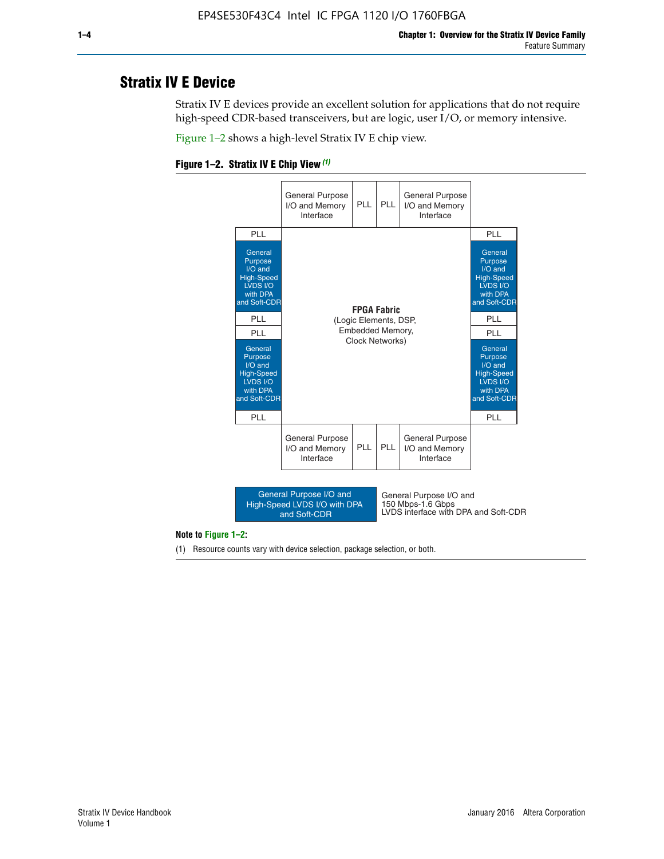# **Stratix IV E Device**

Stratix IV E devices provide an excellent solution for applications that do not require high-speed CDR-based transceivers, but are logic, user I/O, or memory intensive.

Figure 1–2 shows a high-level Stratix IV E chip view.





#### **Note to Figure 1–2:**

(1) Resource counts vary with device selection, package selection, or both.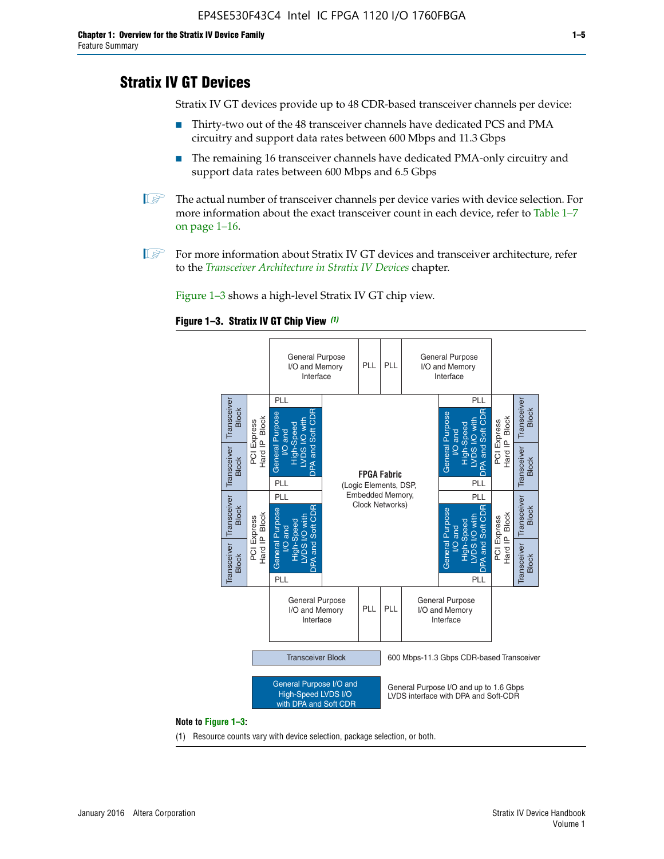# **Stratix IV GT Devices**

Stratix IV GT devices provide up to 48 CDR-based transceiver channels per device:

- Thirty-two out of the 48 transceiver channels have dedicated PCS and PMA circuitry and support data rates between 600 Mbps and 11.3 Gbps
- The remaining 16 transceiver channels have dedicated PMA-only circuitry and support data rates between 600 Mbps and 6.5 Gbps
- **1** The actual number of transceiver channels per device varies with device selection. For more information about the exact transceiver count in each device, refer to Table 1–7 on page 1–16.
- $\mathbb{I}$  For more information about Stratix IV GT devices and transceiver architecture, refer to the *[Transceiver Architecture in Stratix IV Devices](http://www.altera.com/literature/hb/stratix-iv/stx4_siv52001.pdf)* chapter.

Figure 1–3 shows a high-level Stratix IV GT chip view.





(1) Resource counts vary with device selection, package selection, or both.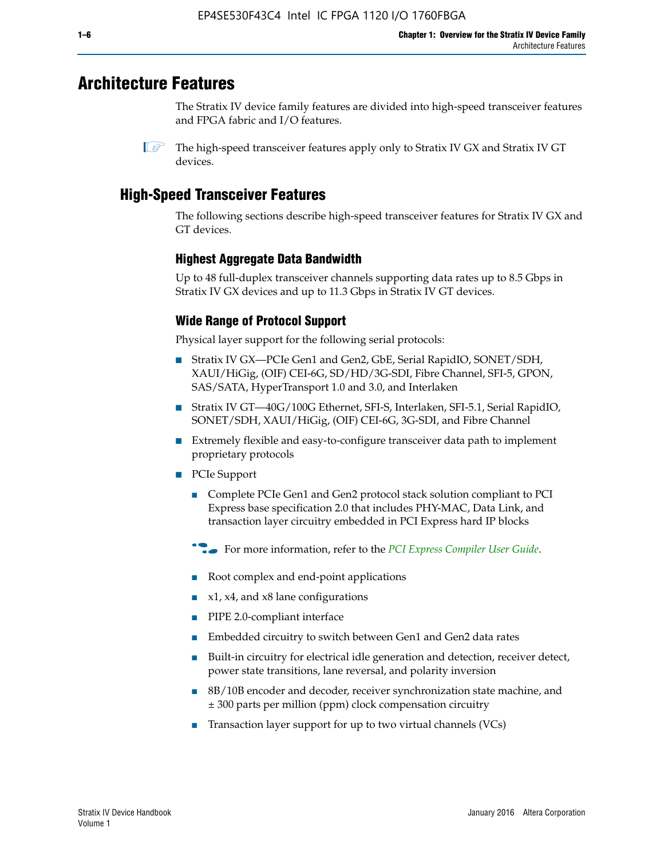# **Architecture Features**

The Stratix IV device family features are divided into high-speed transceiver features and FPGA fabric and I/O features.

 $\mathbb{I}$  The high-speed transceiver features apply only to Stratix IV GX and Stratix IV GT devices.

# **High-Speed Transceiver Features**

The following sections describe high-speed transceiver features for Stratix IV GX and GT devices.

## **Highest Aggregate Data Bandwidth**

Up to 48 full-duplex transceiver channels supporting data rates up to 8.5 Gbps in Stratix IV GX devices and up to 11.3 Gbps in Stratix IV GT devices.

## **Wide Range of Protocol Support**

Physical layer support for the following serial protocols:

- Stratix IV GX—PCIe Gen1 and Gen2, GbE, Serial RapidIO, SONET/SDH, XAUI/HiGig, (OIF) CEI-6G, SD/HD/3G-SDI, Fibre Channel, SFI-5, GPON, SAS/SATA, HyperTransport 1.0 and 3.0, and Interlaken
- Stratix IV GT—40G/100G Ethernet, SFI-S, Interlaken, SFI-5.1, Serial RapidIO, SONET/SDH, XAUI/HiGig, (OIF) CEI-6G, 3G-SDI, and Fibre Channel
- Extremely flexible and easy-to-configure transceiver data path to implement proprietary protocols
- PCIe Support
	- Complete PCIe Gen1 and Gen2 protocol stack solution compliant to PCI Express base specification 2.0 that includes PHY-MAC, Data Link, and transaction layer circuitry embedded in PCI Express hard IP blocks
	- **For more information, refer to the [PCI Express Compiler User Guide](http://www.altera.com/literature/ug/ug_pci_express.pdf).**
	- Root complex and end-point applications
	- $x1, x4,$  and  $x8$  lane configurations
	- PIPE 2.0-compliant interface
	- Embedded circuitry to switch between Gen1 and Gen2 data rates
	- Built-in circuitry for electrical idle generation and detection, receiver detect, power state transitions, lane reversal, and polarity inversion
	- 8B/10B encoder and decoder, receiver synchronization state machine, and ± 300 parts per million (ppm) clock compensation circuitry
	- Transaction layer support for up to two virtual channels (VCs)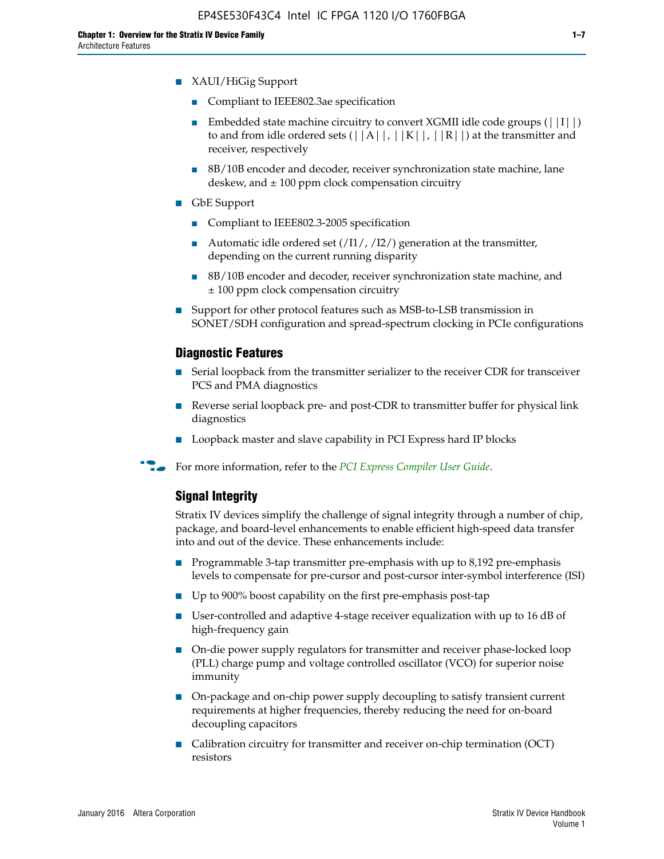- XAUI/HiGig Support
	- Compliant to IEEE802.3ae specification
	- **■** Embedded state machine circuitry to convert XGMII idle code groups  $(|11|)$ to and from idle ordered sets  $(|A|, |K|, |R|)$  at the transmitter and receiver, respectively
	- 8B/10B encoder and decoder, receiver synchronization state machine, lane deskew, and  $\pm 100$  ppm clock compensation circuitry
- GbE Support
	- Compliant to IEEE802.3-2005 specification
	- Automatic idle ordered set  $(111/112/1)$  generation at the transmitter, depending on the current running disparity
	- 8B/10B encoder and decoder, receiver synchronization state machine, and ± 100 ppm clock compensation circuitry
- Support for other protocol features such as MSB-to-LSB transmission in SONET/SDH configuration and spread-spectrum clocking in PCIe configurations

#### **Diagnostic Features**

- Serial loopback from the transmitter serializer to the receiver CDR for transceiver PCS and PMA diagnostics
- Reverse serial loopback pre- and post-CDR to transmitter buffer for physical link diagnostics
- Loopback master and slave capability in PCI Express hard IP blocks
- **For more information, refer to the** *[PCI Express Compiler User Guide](http://www.altera.com/literature/ug/ug_pci_express.pdf)***.**

#### **Signal Integrity**

Stratix IV devices simplify the challenge of signal integrity through a number of chip, package, and board-level enhancements to enable efficient high-speed data transfer into and out of the device. These enhancements include:

- Programmable 3-tap transmitter pre-emphasis with up to 8,192 pre-emphasis levels to compensate for pre-cursor and post-cursor inter-symbol interference (ISI)
- Up to 900% boost capability on the first pre-emphasis post-tap
- User-controlled and adaptive 4-stage receiver equalization with up to 16 dB of high-frequency gain
- On-die power supply regulators for transmitter and receiver phase-locked loop (PLL) charge pump and voltage controlled oscillator (VCO) for superior noise immunity
- On-package and on-chip power supply decoupling to satisfy transient current requirements at higher frequencies, thereby reducing the need for on-board decoupling capacitors
- Calibration circuitry for transmitter and receiver on-chip termination (OCT) resistors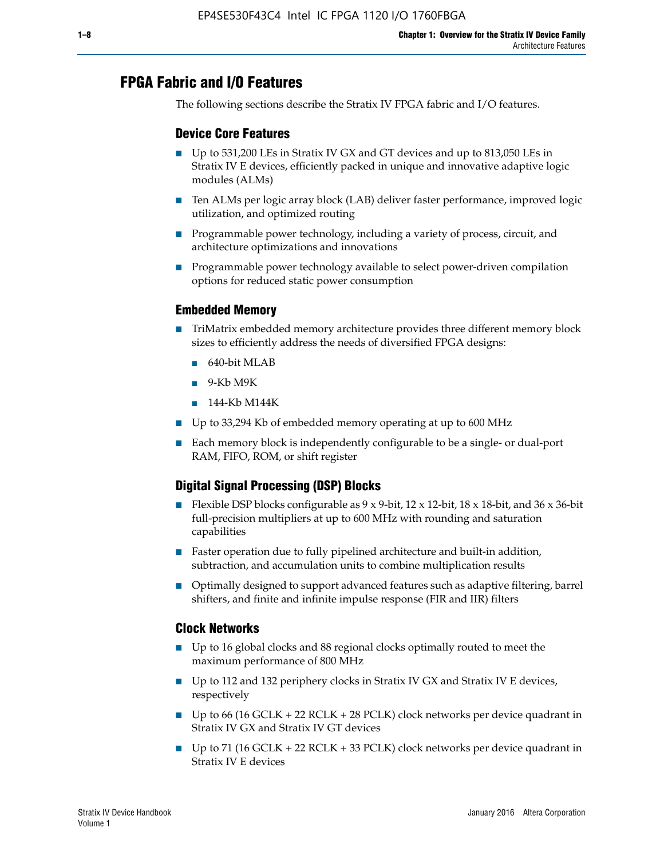# **FPGA Fabric and I/O Features**

The following sections describe the Stratix IV FPGA fabric and I/O features.

### **Device Core Features**

- Up to 531,200 LEs in Stratix IV GX and GT devices and up to 813,050 LEs in Stratix IV E devices, efficiently packed in unique and innovative adaptive logic modules (ALMs)
- Ten ALMs per logic array block (LAB) deliver faster performance, improved logic utilization, and optimized routing
- Programmable power technology, including a variety of process, circuit, and architecture optimizations and innovations
- Programmable power technology available to select power-driven compilation options for reduced static power consumption

#### **Embedded Memory**

- TriMatrix embedded memory architecture provides three different memory block sizes to efficiently address the needs of diversified FPGA designs:
	- 640-bit MLAB
	- 9-Kb M9K
	- 144-Kb M144K
- Up to 33,294 Kb of embedded memory operating at up to 600 MHz
- Each memory block is independently configurable to be a single- or dual-port RAM, FIFO, ROM, or shift register

## **Digital Signal Processing (DSP) Blocks**

- Flexible DSP blocks configurable as  $9 \times 9$ -bit,  $12 \times 12$ -bit,  $18 \times 18$ -bit, and  $36 \times 36$ -bit full-precision multipliers at up to 600 MHz with rounding and saturation capabilities
- Faster operation due to fully pipelined architecture and built-in addition, subtraction, and accumulation units to combine multiplication results
- Optimally designed to support advanced features such as adaptive filtering, barrel shifters, and finite and infinite impulse response (FIR and IIR) filters

#### **Clock Networks**

- Up to 16 global clocks and 88 regional clocks optimally routed to meet the maximum performance of 800 MHz
- Up to 112 and 132 periphery clocks in Stratix IV GX and Stratix IV E devices, respectively
- Up to 66 (16 GCLK + 22 RCLK + 28 PCLK) clock networks per device quadrant in Stratix IV GX and Stratix IV GT devices
- Up to 71 (16 GCLK + 22 RCLK + 33 PCLK) clock networks per device quadrant in Stratix IV E devices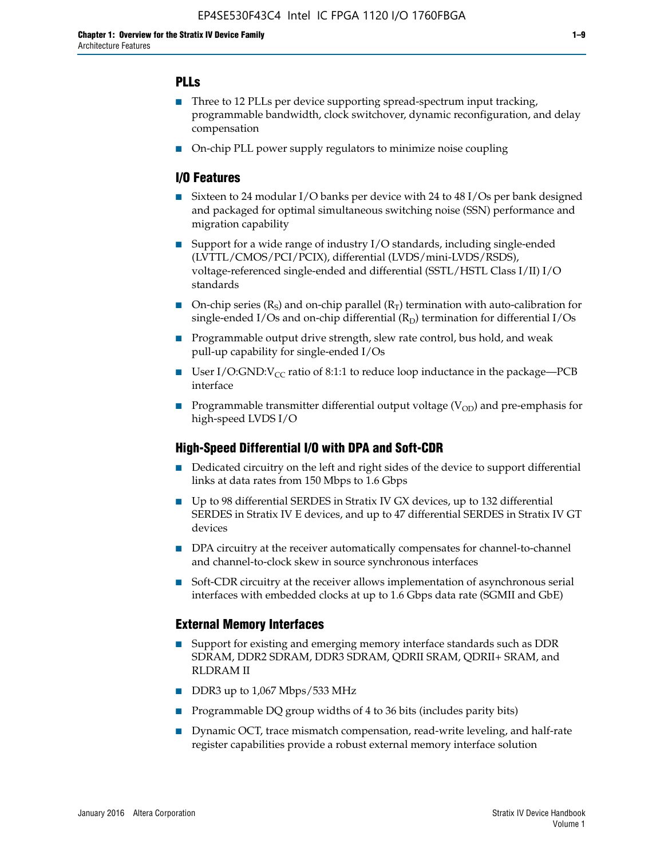### **PLLs**

- Three to 12 PLLs per device supporting spread-spectrum input tracking, programmable bandwidth, clock switchover, dynamic reconfiguration, and delay compensation
- On-chip PLL power supply regulators to minimize noise coupling

#### **I/O Features**

- Sixteen to 24 modular I/O banks per device with 24 to 48 I/Os per bank designed and packaged for optimal simultaneous switching noise (SSN) performance and migration capability
- Support for a wide range of industry I/O standards, including single-ended (LVTTL/CMOS/PCI/PCIX), differential (LVDS/mini-LVDS/RSDS), voltage-referenced single-ended and differential (SSTL/HSTL Class I/II) I/O standards
- **O**n-chip series  $(R_S)$  and on-chip parallel  $(R_T)$  termination with auto-calibration for single-ended I/Os and on-chip differential  $(R_D)$  termination for differential I/Os
- Programmable output drive strength, slew rate control, bus hold, and weak pull-up capability for single-ended I/Os
- User I/O:GND: $V_{CC}$  ratio of 8:1:1 to reduce loop inductance in the package—PCB interface
- **■** Programmable transmitter differential output voltage ( $V_{OD}$ ) and pre-emphasis for high-speed LVDS I/O

#### **High-Speed Differential I/O with DPA and Soft-CDR**

- Dedicated circuitry on the left and right sides of the device to support differential links at data rates from 150 Mbps to 1.6 Gbps
- Up to 98 differential SERDES in Stratix IV GX devices, up to 132 differential SERDES in Stratix IV E devices, and up to 47 differential SERDES in Stratix IV GT devices
- DPA circuitry at the receiver automatically compensates for channel-to-channel and channel-to-clock skew in source synchronous interfaces
- Soft-CDR circuitry at the receiver allows implementation of asynchronous serial interfaces with embedded clocks at up to 1.6 Gbps data rate (SGMII and GbE)

#### **External Memory Interfaces**

- Support for existing and emerging memory interface standards such as DDR SDRAM, DDR2 SDRAM, DDR3 SDRAM, QDRII SRAM, QDRII+ SRAM, and RLDRAM II
- DDR3 up to 1,067 Mbps/533 MHz
- Programmable DQ group widths of 4 to 36 bits (includes parity bits)
- Dynamic OCT, trace mismatch compensation, read-write leveling, and half-rate register capabilities provide a robust external memory interface solution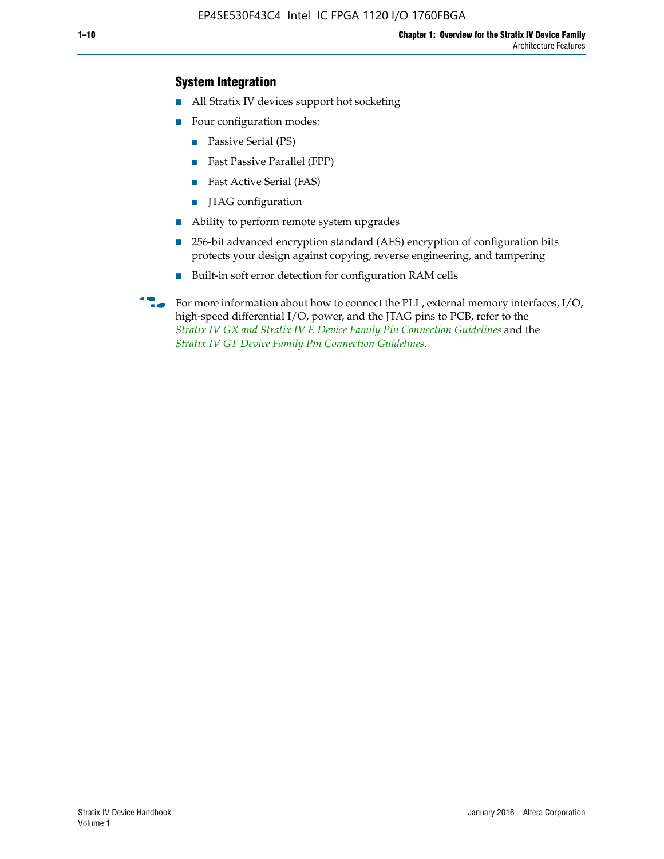## **System Integration**

- All Stratix IV devices support hot socketing
- Four configuration modes:
	- Passive Serial (PS)
	- Fast Passive Parallel (FPP)
	- Fast Active Serial (FAS)
	- JTAG configuration
- Ability to perform remote system upgrades
- 256-bit advanced encryption standard (AES) encryption of configuration bits protects your design against copying, reverse engineering, and tampering
- Built-in soft error detection for configuration RAM cells
- For more information about how to connect the PLL, external memory interfaces,  $I/O$ , high-speed differential I/O, power, and the JTAG pins to PCB, refer to the *[Stratix IV GX and Stratix IV E Device Family Pin Connection Guidelines](http://www.altera.com/literature/dp/stratix4/PCG-01005.pdf)* and the *[Stratix IV GT Device Family Pin Connection Guidelines](http://www.altera.com/literature/dp/stratix4/PCG-01006.pdf)*.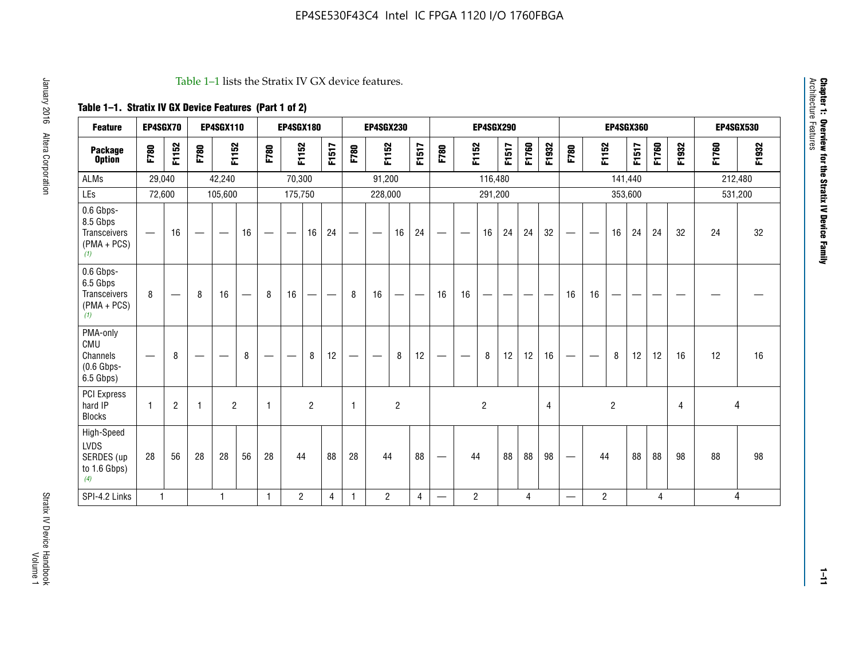#### Table 1–1 lists the Stratix IV GX device features.

## **Table 1–1. Stratix IV GX Device Features (Part 1 of 2)**

| <b>Feature</b>                                                       | EP4SGX70                       |                |                                  | <b>EP4SGX110</b> |    |                                | <b>EP4SGX180</b>               |                |       |              | <b>EP4SGX230</b>         |                          |                               |      |                | <b>EP4SGX290</b> |       |       |       |                          |                   |                | <b>EP4SGX360</b> |       |       |         | <b>EP4SGX530</b> |
|----------------------------------------------------------------------|--------------------------------|----------------|----------------------------------|------------------|----|--------------------------------|--------------------------------|----------------|-------|--------------|--------------------------|--------------------------|-------------------------------|------|----------------|------------------|-------|-------|-------|--------------------------|-------------------|----------------|------------------|-------|-------|---------|------------------|
| <b>Package</b><br><b>Option</b>                                      | F780                           | F1152          | F780                             | F1152            |    | F780                           | F1152                          |                | F1517 | F780         | F1152                    |                          | F1517                         | F780 | F1152          |                  | F1517 | F1760 | F1932 | F780                     | F1152             |                | F1517            | F1760 | F1932 | F1760   | F1932            |
| ALMs                                                                 | 29,040                         |                |                                  | 42,240           |    |                                | 70,300                         |                |       |              | 91,200                   |                          |                               |      |                | 116,480          |       |       |       |                          |                   |                | 141,440          |       |       | 212,480 |                  |
| LEs                                                                  | 72,600                         |                |                                  | 105,600          |    |                                | 175,750                        |                |       |              | 228,000                  |                          |                               |      |                | 291,200          |       |       |       |                          |                   |                | 353,600          |       |       |         | 531,200          |
| 0.6 Gbps-<br>8.5 Gbps<br>Transceivers<br>$(PMA + PCs)$<br>(1)        | $\overline{\phantom{0}}$       | 16             |                                  |                  | 16 |                                | $\qquad \qquad \longleftarrow$ | 16             | 24    |              |                          | 16                       | 24                            |      |                | 16               | 24    | 24    | 32    | $\overline{\phantom{0}}$ |                   | 16             | 24               | 24    | 32    | 24      | 32               |
| 0.6 Gbps-<br>6.5 Gbps<br><b>Transceivers</b><br>$(PMA + PCs)$<br>(1) | 8                              |                | 8                                | 16               | –  | 8                              | 16                             | -              |       | 8            | 16                       | $\overline{\phantom{0}}$ | $\overbrace{\phantom{aaaaa}}$ | 16   | 16             |                  | -     |       |       | 16                       | 16                |                |                  |       |       |         |                  |
| PMA-only<br>CMU<br>Channels<br>$(0.6$ Gbps-<br>6.5 Gbps)             | $\qquad \qquad \longleftarrow$ | 8              | $\overbrace{\phantom{12322111}}$ |                  | 8  | $\qquad \qquad \longleftarrow$ |                                | 8              | 12    | -            | $\overline{\phantom{a}}$ | 8                        | 12                            |      |                | 8                | 12    | 12    | 16    | $\overline{\phantom{0}}$ | $\hspace{0.05cm}$ | 8              | 12               | 12    | 16    | 12      | 16               |
| PCI Express<br>hard IP<br><b>Blocks</b>                              | $\mathbf{1}$                   | $\overline{2}$ |                                  | $\overline{2}$   |    | 1                              |                                | $\overline{2}$ |       | $\mathbf{1}$ |                          | $\overline{c}$           |                               |      |                | $\overline{c}$   |       |       | 4     |                          |                   | $\overline{2}$ |                  |       | 4     |         | 4                |
| High-Speed<br>LVDS<br>SERDES (up<br>to 1.6 Gbps)<br>(4)              | 28                             | 56             | 28                               | 28               | 56 | 28                             | 44                             |                | 88    | 28           | 44                       |                          | 88                            | —    | 44             |                  | 88    | 88    | 98    |                          | 44                |                | 88               | 88    | 98    | 88      | 98               |
| SPI-4.2 Links                                                        | $\mathbf{1}$                   |                |                                  | 1                |    | $\mathbf{1}$                   | $\overline{c}$                 |                | 4     | 1            | $\overline{c}$           |                          | $\overline{4}$                | —    | $\overline{2}$ |                  |       | 4     |       | $\overline{\phantom{0}}$ | $\overline{2}$    |                |                  | 4     |       |         | 4                |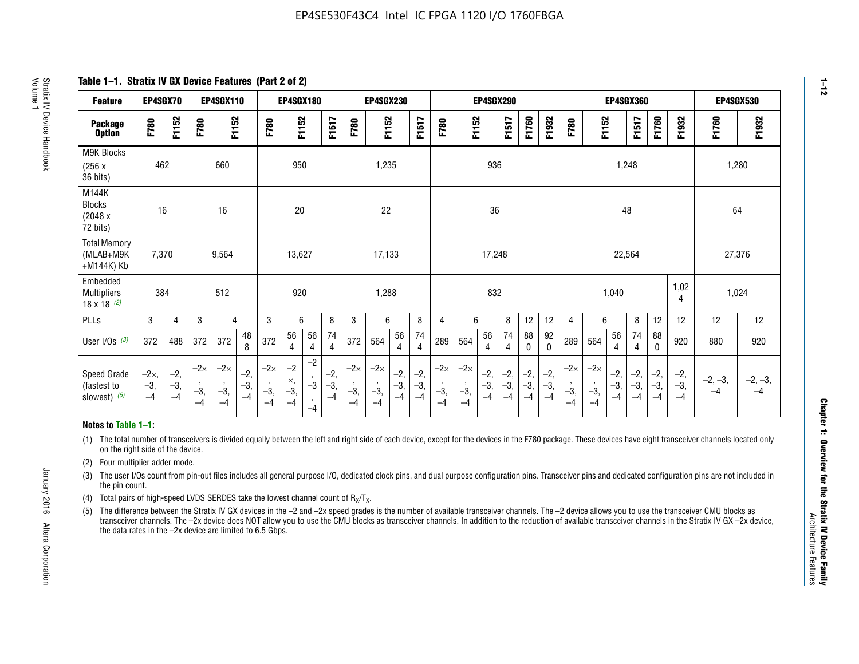**Table 1–1. Stratix IV GX Device Features (Part 2 of 2)**

| <b>Feature</b>                                       | EP4SGX70                |                        |                             | <b>EP4SGX110</b>            |                      |                             | <b>EP4SGX180</b>          |                                              |                        |                             | <b>EP4SGX230</b>            |                        |                      |                             |                             | EP4SGX290              |                      |                        |                        |                             |                             |                        | <b>EP4SGX360</b>     |                        |                        | <b>EP4SGX530</b>  |                   |
|------------------------------------------------------|-------------------------|------------------------|-----------------------------|-----------------------------|----------------------|-----------------------------|---------------------------|----------------------------------------------|------------------------|-----------------------------|-----------------------------|------------------------|----------------------|-----------------------------|-----------------------------|------------------------|----------------------|------------------------|------------------------|-----------------------------|-----------------------------|------------------------|----------------------|------------------------|------------------------|-------------------|-------------------|
| <b>Package</b><br><b>Option</b>                      | F780                    | F1152                  | F780                        | F1152                       |                      | F780                        | F1152                     |                                              | F1517                  | F780                        | F1152                       |                        | F1517                | F780                        | F1152                       |                        | F1517                | F1760                  | F1932                  | F780                        | F1152                       |                        | F1517                | F1760                  | F1932                  | F1760             | F1932             |
| M9K Blocks<br>(256x)<br>36 bits)                     | 462                     |                        |                             | 660                         |                      |                             | 950                       |                                              |                        |                             | 1,235                       |                        |                      |                             |                             | 936                    |                      |                        |                        |                             |                             | 1,248                  |                      |                        |                        | 1,280             |                   |
| M144K<br>Blocks<br>(2048 x<br>72 bits)               | 16                      |                        |                             | 16                          |                      |                             | $20\,$                    |                                              |                        |                             | 22                          |                        |                      |                             |                             | 36                     |                      |                        |                        |                             |                             | 48                     |                      |                        |                        | 64                |                   |
| <b>Total Memory</b><br>(MLAB+M9K<br>+M144K) Kb       | 7,370                   |                        |                             | 9,564                       |                      |                             | 13,627                    |                                              |                        |                             | 17,133                      |                        |                      |                             |                             | 17,248                 |                      |                        |                        |                             |                             | 22,564                 |                      |                        |                        | 27,376            |                   |
| Embedded<br><b>Multipliers</b><br>$18 \times 18$ (2) | 384                     |                        |                             | 512                         |                      |                             | 920                       |                                              |                        |                             | 1,288                       |                        |                      |                             |                             | 832                    |                      |                        |                        |                             |                             | 1,040                  |                      |                        | 1,02<br>4              | 1,024             |                   |
| PLLs                                                 | 3                       | 4                      | 3                           | 4                           |                      | 3                           | 6                         |                                              | 8                      | 3                           | 6                           |                        | 8                    | 4                           | 6                           |                        | 8                    | 12                     | 12                     | 4                           | 6                           |                        | 8                    | 12                     | 12                     | 12                | 12                |
| User I/Os $(3)$                                      | 372                     | 488                    | 372                         | 372                         | 48<br>8              | 372                         | 56<br>4                   | 56<br>4                                      | 74<br>$\overline{4}$   | 372                         | 564                         | 56<br>4                | 74<br>$\overline{4}$ | 289                         | 564                         | 56<br>4                | 74<br>4              | 88<br>0                | 92<br>$\mathbf 0$      | 289                         | 564                         | 56<br>4                | 74<br>4              | 88<br>0                | 920                    | 880               | 920               |
| Speed Grade<br>(fastest to<br>slowest) (5)           | $-2x,$<br>$-3,$<br>$-4$ | $-2,$<br>$-3,$<br>$-4$ | $-2\times$<br>$-3,$<br>$-4$ | $-2\times$<br>$-3,$<br>$-4$ | $-2,$<br>-3,<br>$-4$ | $-2\times$<br>$-3,$<br>$-4$ | $-2$<br>×,<br>$-3,$<br>-4 | $-2$<br>$\,$<br>$-3$<br>$\mathbf{r}$<br>$-4$ | $-2,$<br>$-3,$<br>$-4$ | $-2\times$<br>$-3,$<br>$-4$ | $-2\times$<br>$-3,$<br>$-4$ | $-2,$<br>$-3,$<br>$-4$ | $-2,$<br>-3,<br>$-4$ | $-2\times$<br>$-3,$<br>$-4$ | $-2\times$<br>$-3,$<br>$-4$ | $-2,$<br>$-3,$<br>$-4$ | $-2,$<br>-3,<br>$-4$ | $-2,$<br>$-3,$<br>$-4$ | $-2,$<br>$-3,$<br>$-4$ | $-2\times$<br>$-3,$<br>$-4$ | $-2\times$<br>$-3,$<br>$-4$ | $-2,$<br>$-3,$<br>$-4$ | $-2,$<br>-3,<br>$-4$ | $-2,$<br>$-3,$<br>$-4$ | $-2,$<br>$-3,$<br>$-4$ | $-2, -3,$<br>$-4$ | $-2, -3,$<br>$-4$ |

#### **Notes to Table 1–1:**

(1) The total number of transceivers is divided equally between the left and right side of each device, except for the devices in the F780 package. These devices have eight transceiver channels located only on the right side of the device.

- (2) Four multiplier adder mode.
- (3) The user I/Os count from pin-out files includes all general purpose I/O, dedicated clock pins, and dual purpose configuration pins. Transceiver pins and dedicated configuration pins are not included in the pin count.
- (4) Total pairs of high-speed LVDS SERDES take the lowest channel count of  $R_X/T_X$ .
- (5) The difference between the Stratix IV GX devices in the –2 and –2x speed grades is the number of available transceiver channels. The –2 device allows you to use the transceiver CMU blocks as transceiver channels. The –2x device does NOT allow you to use the CMU blocks as transceiver channels. In addition to the reduction of available transceiver channels in the Stratix IV GX –2x device, the data rates in the –2x device are limited to 6.5 Gbps.

January 2016 Altera Corporation

Altera Corporation

January 2016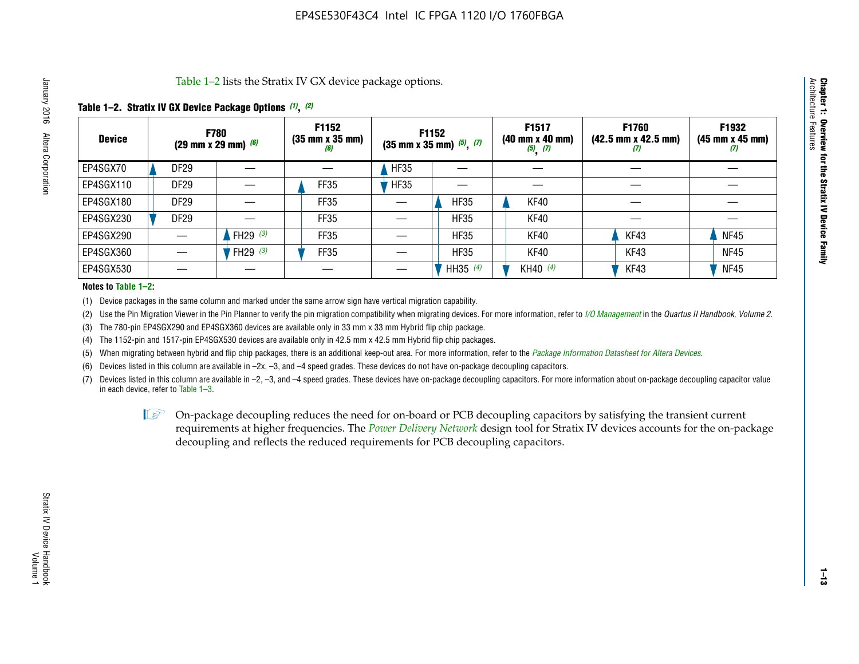Table 1–2 lists the Stratix IV GX device package options.

#### **Table 1–2. Stratix IV GX Device Package Options** *(1)***,** *(2)*

| <b>Device</b> |                  | <b>F780</b><br>(29 mm x 29 mm) $(6)$ | F1152<br>$(35 \, \text{mm} \times 35 \, \text{mm})$<br>(6) |             | <b>F1152</b><br>$(35 \text{ mm} \times 35 \text{ mm})$ $(5)$ , $(7)$ | F1517<br>(40 mm x 40 mm)<br>$(5)$ $(7)$ | <b>F1760</b><br>$(42.5 \text{ mm} \times 42.5 \text{ mm})$<br>Ø | F1932<br>$(45 \, \text{mm} \times 45 \, \text{mm})$<br>(7) |
|---------------|------------------|--------------------------------------|------------------------------------------------------------|-------------|----------------------------------------------------------------------|-----------------------------------------|-----------------------------------------------------------------|------------------------------------------------------------|
| EP4SGX70      | <b>DF29</b>      |                                      |                                                            | <b>HF35</b> |                                                                      |                                         |                                                                 |                                                            |
| EP4SGX110     | <b>DF29</b>      |                                      | FF35                                                       | <b>HF35</b> |                                                                      |                                         |                                                                 |                                                            |
| EP4SGX180     | DF <sub>29</sub> |                                      | FF35                                                       |             | <b>HF35</b>                                                          | KF40                                    |                                                                 |                                                            |
| EP4SGX230     | DF <sub>29</sub> |                                      | FF35                                                       |             | <b>HF35</b>                                                          | KF40                                    |                                                                 |                                                            |
| EP4SGX290     |                  | FH29 $(3)$                           | FF35                                                       |             | <b>HF35</b>                                                          | KF40                                    | KF43                                                            | <b>NF45</b>                                                |
| EP4SGX360     |                  | FH29 (3)                             | FF35                                                       |             | <b>HF35</b>                                                          | KF40                                    | KF43                                                            | <b>NF45</b>                                                |
| EP4SGX530     |                  |                                      |                                                            |             | HH35 $(4)$                                                           | KH40 (4)                                | KF43                                                            | <b>NF45</b>                                                |

#### **Notes to Table 1–2:**

(1) Device packages in the same column and marked under the same arrow sign have vertical migration capability.

(2) Use the Pin Migration Viewer in the Pin Planner to verify the pin migration compatibility when migrating devices. For more information, refer to *[I/O Management](http://www.altera.com/literature/hb/qts/qts_qii52013.pdf)* in the *Quartus II Handbook, Volume 2*.

(3) The 780-pin EP4SGX290 and EP4SGX360 devices are available only in 33 mm x 33 mm Hybrid flip chip package.

(4) The 1152-pin and 1517-pin EP4SGX530 devices are available only in 42.5 mm x 42.5 mm Hybrid flip chip packages.

(5) When migrating between hybrid and flip chip packages, there is an additional keep-out area. For more information, refer to the *[Package Information Datasheet for Altera Devices](http://www.altera.com/literature/ds/dspkg.pdf)*.

(6) Devices listed in this column are available in –2x, –3, and –4 speed grades. These devices do not have on-package decoupling capacitors.

(7) Devices listed in this column are available in –2, –3, and –4 speed grades. These devices have on-package decoupling capacitors. For more information about on-package decoupling capacitor value in each device, refer to Table 1–3.

 $\mathbb{L}$ s On-package decoupling reduces the need for on-board or PCB decoupling capacitors by satisfying the transient current requirements at higher frequencies. The *[Power Delivery Network](http://www.altera.com/literature/ug/pdn_tool_stxiv.zip)* design tool for Stratix IV devices accounts for the on-package decoupling and reflects the reduced requirements for PCB decoupling capacitors.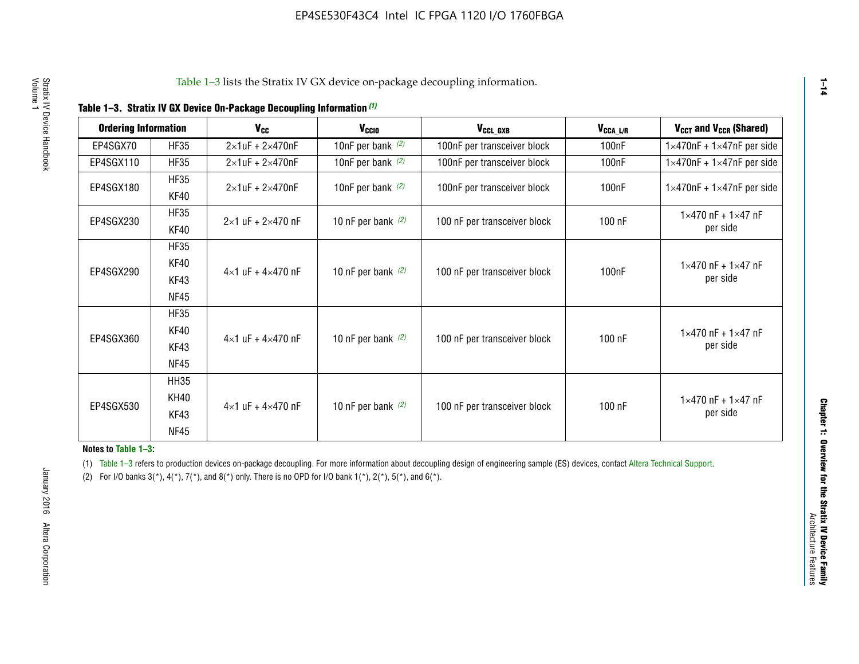|  |  | Table 1-3. Stratix IV GX Device On-Package Decoupling Information (1) |  |  |
|--|--|-----------------------------------------------------------------------|--|--|
|--|--|-----------------------------------------------------------------------|--|--|

| <b>Ordering Information</b> |                     | $V_{cc}$                            | V <sub>CCIO</sub>    | V <sub>CCL_GXB</sub>         | $V_{\texttt{CCA}\_\textsf{L/R}}$ | V <sub>CCT</sub> and V <sub>CCR</sub> (Shared)   |
|-----------------------------|---------------------|-------------------------------------|----------------------|------------------------------|----------------------------------|--------------------------------------------------|
| EP4SGX70                    | <b>HF35</b>         | $2\times1$ uF + $2\times470$ nF     | 10nF per bank $(2)$  | 100nF per transceiver block  | 100 <sub>n</sub> F               | $1\times470$ nF + $1\times47$ nF per side        |
| EP4SGX110                   | <b>HF35</b>         | $2\times1$ uF + $2\times470$ nF     | 10nF per bank $(2)$  | 100nF per transceiver block  | 100 <sub>n</sub> F               | $1\times470$ nF + $1\times47$ nF per side        |
| EP4SGX180                   | <b>HF35</b><br>KF40 | $2\times1$ uF + $2\times470$ nF     | 10nF per bank $(2)$  | 100nF per transceiver block  | 100 <sub>n</sub> F               | $1\times470$ nF + $1\times47$ nF per side        |
| EP4SGX230                   | <b>HF35</b><br>KF40 | $2 \times 1$ uF + $2 \times 470$ nF | 10 nF per bank $(2)$ | 100 nF per transceiver block | 100 nF                           | $1 \times 470$ nF + $1 \times 47$ nF<br>per side |
|                             | <b>HF35</b>         |                                     |                      |                              |                                  |                                                  |
| EP4SGX290                   | KF40<br>KF43        | $4\times1$ uF + $4\times470$ nF     | 10 nF per bank $(2)$ | 100 nF per transceiver block | 100 <sub>n</sub> F               | $1 \times 470$ nF + $1 \times 47$ nF<br>per side |
|                             | <b>NF45</b>         |                                     |                      |                              |                                  |                                                  |
|                             | <b>HF35</b>         |                                     |                      |                              |                                  |                                                  |
| EP4SGX360                   | KF40                | $4 \times 1$ uF + $4 \times 470$ nF | 10 nF per bank $(2)$ | 100 nF per transceiver block | 100 nF                           | $1 \times 470$ nF + $1 \times 47$ nF             |
|                             | KF43                |                                     |                      |                              |                                  | per side                                         |
|                             | <b>NF45</b>         |                                     |                      |                              |                                  |                                                  |
|                             | <b>HH35</b>         |                                     |                      |                              |                                  |                                                  |
|                             | KH40                |                                     |                      |                              |                                  | $1 \times 470$ nF + $1 \times 47$ nF             |
| EP4SGX530                   | KF43                | $4\times1$ uF + $4\times470$ nF     | 10 nF per bank $(2)$ | 100 nF per transceiver block | 100 nF                           | per side                                         |
|                             | <b>NF45</b>         |                                     |                      |                              |                                  |                                                  |

**Notes to Table 1–3:**

(1) Table 1-3 refers to production devices on-package decoupling. For more information about decoupling design of engineering sample (ES) devices, contact [Altera Technical Support](http://mysupport.altera.com/eservice/login.asp).

(2) For I/O banks  $3(*)$ ,  $4(*)$ ,  $7(*)$ , and  $8(*)$  only. There is no OPD for I/O bank  $1(*)$ ,  $2(*)$ ,  $5(*)$ , and  $6(*)$ .

**1–14**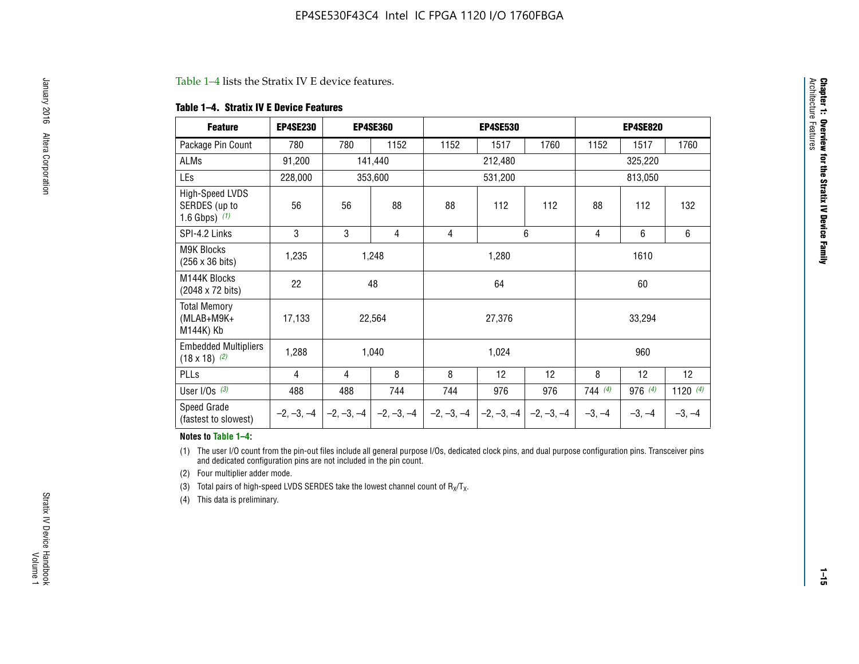#### Table 1–4 lists the Stratix IV E device features.

#### **Table 1–4. Stratix IV E Device Features**

| <b>Feature</b>                                      | <b>EP4SE230</b> |     | <b>EP4SE360</b>                          |              | <b>EP4SE530</b> |              |                | <b>EP4SE820</b> |                 |  |
|-----------------------------------------------------|-----------------|-----|------------------------------------------|--------------|-----------------|--------------|----------------|-----------------|-----------------|--|
| Package Pin Count                                   | 780             | 780 | 1152                                     | 1152         | 1517            | 1760         | 1152           | 1517            | 1760            |  |
| ALMs                                                | 91,200          |     | 141,440                                  |              | 212,480         |              |                | 325,220         |                 |  |
| LEs                                                 | 228,000         |     | 353,600                                  |              | 531,200         |              |                | 813,050         |                 |  |
| High-Speed LVDS<br>SERDES (up to<br>1.6 Gbps) $(1)$ | 56              | 56  | 88                                       | 88           | 112             | 112          | 88             | 112             | 132             |  |
| SPI-4.2 Links                                       | 3               | 3   | 4                                        | 4            |                 | 6            | $\overline{4}$ | 6               | 6               |  |
| M9K Blocks<br>(256 x 36 bits)                       | 1,235           |     | 1,248                                    |              | 1,280           |              |                | 1610            |                 |  |
| M144K Blocks<br>(2048 x 72 bits)                    | 22              |     | 48                                       |              | 64              |              |                | 60              |                 |  |
| <b>Total Memory</b><br>(MLAB+M9K+<br>M144K) Kb      | 17,133          |     | 22,564                                   |              | 27,376          |              |                | 33,294          |                 |  |
| <b>Embedded Multipliers</b><br>$(18 \times 18)$ (2) | 1,288           |     | 1,040                                    |              | 1,024           |              |                | 960             |                 |  |
| PLLs                                                | 4               | 4   | 8                                        | 8            | 12              | 12           | 8              | 12              | 12 <sup>°</sup> |  |
| User I/Os $(3)$                                     | 488             | 488 | 744                                      | 744          | 976             | 976          | 744(4)         | 976 (4)         | 1120 $(4)$      |  |
| Speed Grade<br>(fastest to slowest)                 |                 |     | $-2, -3, -4$ $ -2, -3, -4$ $ -2, -3, -4$ | $-2, -3, -4$ | $-2, -3, -4$    | $-2, -3, -4$ | $-3, -4$       | $-3, -4$        | $-3, -4$        |  |

#### **Notes to Table 1–4:**

(1) The user I/O count from the pin-out files include all general purpose I/Os, dedicated clock pins, and dual purpose configuration pins. Transceiver pins and dedicated configuration pins are not included in the pin count.

(2) Four multiplier adder mode.

(3) Total pairs of high-speed LVDS SERDES take the lowest channel count of  $R_X/T_X$ .

(4) This data is preliminary.

**Chapter 1: Overview for the Stratix IV Device Family**

**Chapter 1: Overview for the Stratix IV Device Family**<br>Architecture Faatures

Architecture Features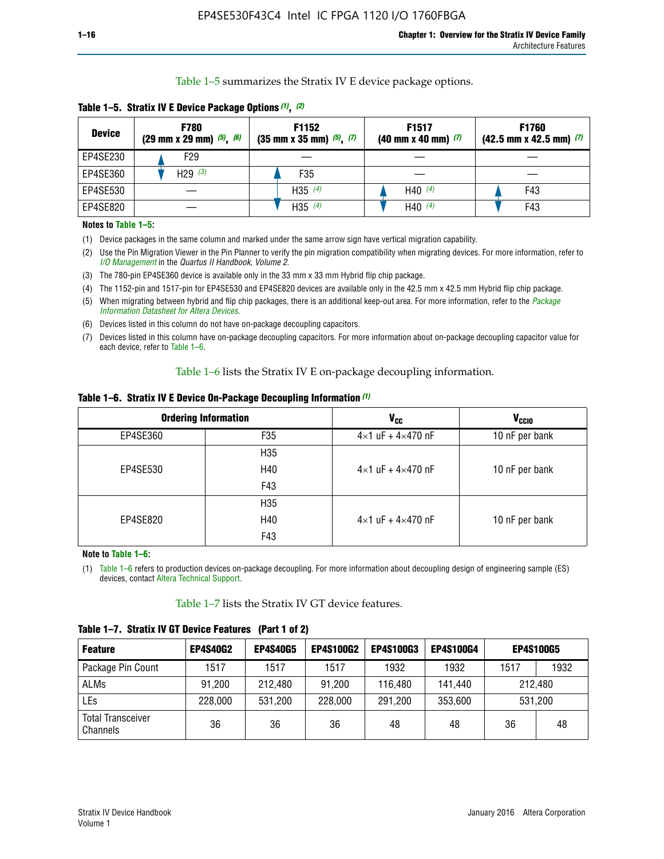Table 1–5 summarizes the Stratix IV E device package options.

| <b>Device</b> | <b>F780</b><br>$(29 \text{ mm} \times 29 \text{ mm})$ $(5)$ , $(6)$ | F1152<br>$(35 \text{ mm} \times 35 \text{ mm})$ $(5)$ , $(7)$ | F <sub>1517</sub><br>$(40 \text{ mm} \times 40 \text{ mm})$ (7) | <b>F1760</b><br>$(42.5$ mm x 42.5 mm) $(7)$ |
|---------------|---------------------------------------------------------------------|---------------------------------------------------------------|-----------------------------------------------------------------|---------------------------------------------|
| EP4SE230      | F29                                                                 |                                                               |                                                                 |                                             |
| EP4SE360      | H <sub>29</sub> $(3)$                                               | F35                                                           |                                                                 |                                             |
| EP4SE530      |                                                                     | H35 $(4)$                                                     | H40 $(4)$                                                       | F43                                         |
| EP4SE820      |                                                                     | H35 $(4)$                                                     | H40 $(4)$                                                       | F43                                         |

**Table 1–5. Stratix IV E Device Package Options** *(1)***,** *(2)*

#### **Notes to Table 1–5:**

(1) Device packages in the same column and marked under the same arrow sign have vertical migration capability.

(2) Use the Pin Migration Viewer in the Pin Planner to verify the pin migration compatibility when migrating devices. For more information, refer to *[I/O Management](http://www.altera.com/literature/hb/qts/qts_qii52013.pdf)* in the *Quartus II Handbook, Volume 2*.

(3) The 780-pin EP4SE360 device is available only in the 33 mm x 33 mm Hybrid flip chip package.

(4) The 1152-pin and 1517-pin for EP4SE530 and EP4SE820 devices are available only in the 42.5 mm x 42.5 mm Hybrid flip chip package.

(5) When migrating between hybrid and flip chip packages, there is an additional keep-out area. For more information, refer to the *[Package](http://www.altera.com/literature/ds/dspkg.pdf)  [Information Datasheet for Altera Devices](http://www.altera.com/literature/ds/dspkg.pdf)*.

(6) Devices listed in this column do not have on-package decoupling capacitors.

(7) Devices listed in this column have on-package decoupling capacitors. For more information about on-package decoupling capacitor value for each device, refer to Table 1–6.

Table 1–6 lists the Stratix IV E on-package decoupling information.

| Table 1–6. Stratix IV E Device On-Package Decoupling Information (1) |  |  |  |  |  |
|----------------------------------------------------------------------|--|--|--|--|--|
|----------------------------------------------------------------------|--|--|--|--|--|

|          | <b>Ordering Information</b> | <b>V<sub>cc</sub></b>               | <b>V<sub>CCIO</sub></b> |
|----------|-----------------------------|-------------------------------------|-------------------------|
| EP4SE360 | F <sub>35</sub>             | $4 \times 1$ uF + $4 \times 470$ nF | 10 nF per bank          |
|          | H <sub>35</sub>             |                                     |                         |
| EP4SE530 | H40                         | $4 \times 1$ uF + $4 \times 470$ nF | 10 nF per bank          |
|          | F43                         |                                     |                         |
|          | H <sub>35</sub>             |                                     |                         |
| EP4SE820 | H40                         | $4 \times 1$ uF + $4 \times 470$ nF | 10 nF per bank          |
|          | F43                         |                                     |                         |

**Note to Table 1–6:**

(1) Table 1–6 refers to production devices on-package decoupling. For more information about decoupling design of engineering sample (ES) devices, contact [Altera Technical Support](http://mysupport.altera.com/eservice/login.asp).

Table 1–7 lists the Stratix IV GT device features.

| <b>Feature</b>                       | <b>EP4S40G2</b> | <b>EP4S40G5</b> | <b>EP4S100G2</b> | <b>EP4S100G3</b> | <b>EP4S100G4</b> | <b>EP4S100G5</b> |         |
|--------------------------------------|-----------------|-----------------|------------------|------------------|------------------|------------------|---------|
| Package Pin Count                    | 1517            | 1517            | 1517             | 1932             | 1932             | 1517             | 1932    |
| <b>ALMs</b>                          | 91,200          | 212,480         | 91,200           | 116,480          | 141,440          |                  | 212.480 |
| LEs                                  | 228,000         | 531,200         | 228,000          | 291,200          | 353,600          |                  | 531,200 |
| <b>Total Transceiver</b><br>Channels | 36              | 36              | 36               | 48               | 48               | 36               | 48      |

**Table 1–7. Stratix IV GT Device Features (Part 1 of 2)**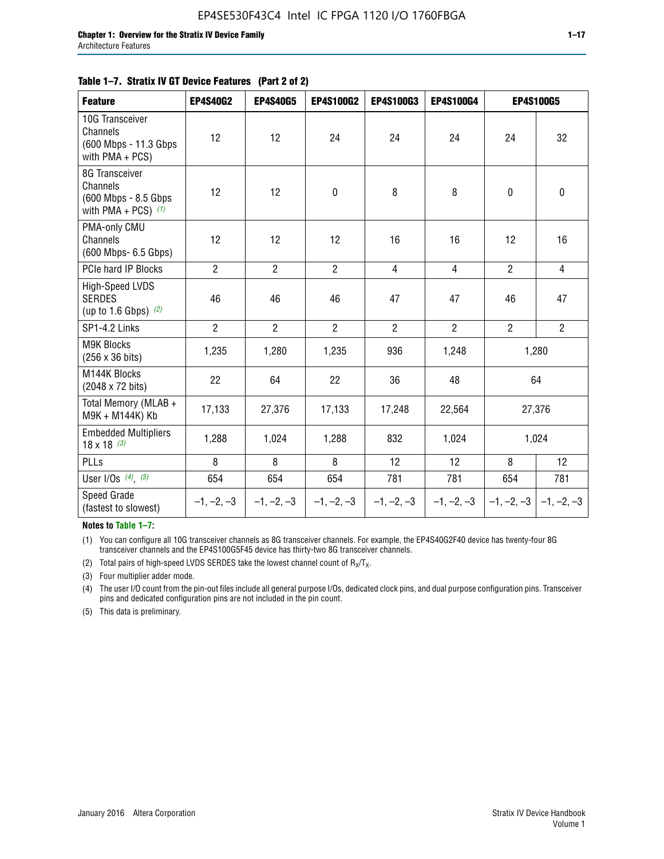#### **Table 1–7. Stratix IV GT Device Features (Part 2 of 2)**

| <b>Feature</b>                                                              | <b>EP4S40G2</b> | <b>EP4S40G5</b> | <b>EP4S100G2</b> | <b>EP4S100G3</b> | <b>EP4S100G4</b> | <b>EP4S100G5</b> |                           |
|-----------------------------------------------------------------------------|-----------------|-----------------|------------------|------------------|------------------|------------------|---------------------------|
| 10G Transceiver<br>Channels<br>(600 Mbps - 11.3 Gbps<br>with PMA + PCS)     | 12              | 12              | 24               | 24               | 24               | 24               | 32                        |
| 8G Transceiver<br>Channels<br>(600 Mbps - 8.5 Gbps<br>with PMA + PCS) $(1)$ | 12              | 12              | $\pmb{0}$        | 8                | 8                | $\mathbf 0$      | 0                         |
| PMA-only CMU<br>Channels<br>(600 Mbps- 6.5 Gbps)                            | 12              | 12              | 12               | 16               | 16               | 12               | 16                        |
| PCIe hard IP Blocks                                                         | $\overline{2}$  | $\overline{2}$  | $\overline{2}$   | $\overline{4}$   | $\overline{4}$   | $\overline{2}$   | $\overline{4}$            |
| <b>High-Speed LVDS</b><br><b>SERDES</b><br>(up to 1.6 Gbps) $(2)$           | 46              | 46              | 46               | 47               | 47               | 46               | 47                        |
| SP1-4.2 Links                                                               | $\overline{2}$  | $\overline{2}$  | $\overline{2}$   | $\overline{2}$   | $\overline{2}$   | $\overline{2}$   | $\overline{2}$            |
| <b>M9K Blocks</b><br>(256 x 36 bits)                                        | 1,235           | 1,280           | 1,235            | 936              | 1,248            |                  | 1,280                     |
| M144K Blocks<br>(2048 x 72 bits)                                            | 22              | 64              | 22               | 36               | 48               |                  | 64                        |
| Total Memory (MLAB +<br>M9K + M144K) Kb                                     | 17,133          | 27,376          | 17,133           | 17,248           | 22,564           |                  | 27,376                    |
| <b>Embedded Multipliers</b><br>$18 \times 18^{(3)}$                         | 1,288           | 1,024           | 1,288            | 832              | 1,024            |                  | 1,024                     |
| PLLs                                                                        | 8               | 8               | 8                | 12               | 12               | 8                | 12                        |
| User I/Os $(4)$ , $(5)$                                                     | 654             | 654             | 654              | 781              | 781              | 654              | 781                       |
| Speed Grade<br>(fastest to slowest)                                         | $-1, -2, -3$    | $-1, -2, -3$    | $-1, -2, -3$     | $-1, -2, -3$     | $-1, -2, -3$     |                  | $-1, -2, -3$ $-1, -2, -3$ |

**Notes to Table 1–7:**

(1) You can configure all 10G transceiver channels as 8G transceiver channels. For example, the EP4S40G2F40 device has twenty-four 8G transceiver channels and the EP4S100G5F45 device has thirty-two 8G transceiver channels.

(2) Total pairs of high-speed LVDS SERDES take the lowest channel count of  $R_X/T_X$ .

(3) Four multiplier adder mode.

(4) The user I/O count from the pin-out files include all general purpose I/Os, dedicated clock pins, and dual purpose configuration pins. Transceiver pins and dedicated configuration pins are not included in the pin count.

(5) This data is preliminary.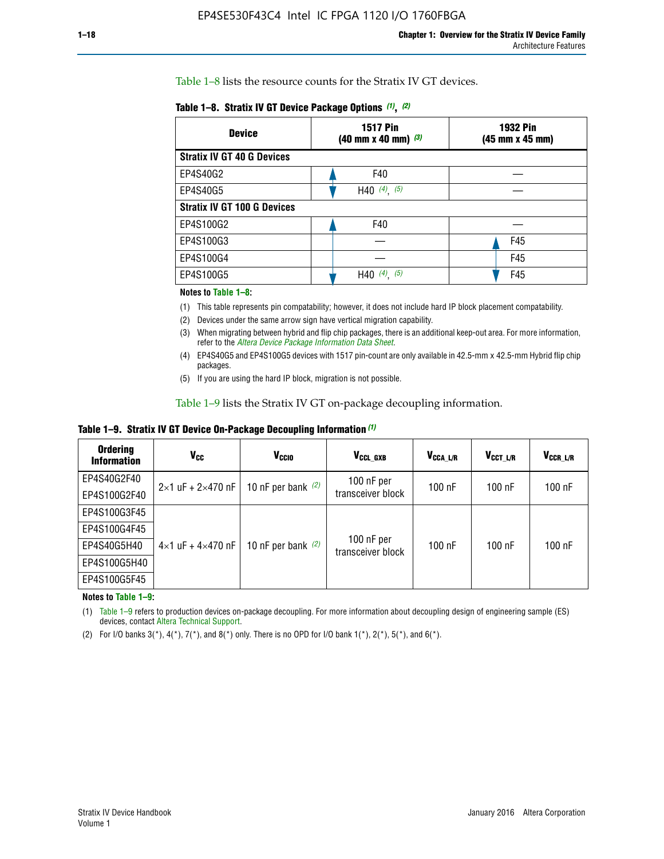Table 1–8 lists the resource counts for the Stratix IV GT devices.

| <b>Device</b>                      | <b>1517 Pin</b><br><b>1932 Pin</b><br>$(40 \text{ mm} \times 40 \text{ mm})$ (3)<br>(45 mm x 45 mm) |     |  |
|------------------------------------|-----------------------------------------------------------------------------------------------------|-----|--|
| <b>Stratix IV GT 40 G Devices</b>  |                                                                                                     |     |  |
| EP4S40G2                           | F40                                                                                                 |     |  |
| EP4S40G5                           | H40 $(4)$ , $(5)$                                                                                   |     |  |
| <b>Stratix IV GT 100 G Devices</b> |                                                                                                     |     |  |
| EP4S100G2                          | F40                                                                                                 |     |  |
| EP4S100G3                          |                                                                                                     | F45 |  |
| EP4S100G4                          |                                                                                                     | F45 |  |
| EP4S100G5                          | H40 $(4)$ $(5)$                                                                                     | F45 |  |

#### **Notes to Table 1–8:**

(1) This table represents pin compatability; however, it does not include hard IP block placement compatability.

- (2) Devices under the same arrow sign have vertical migration capability.
- (3) When migrating between hybrid and flip chip packages, there is an additional keep-out area. For more information, refer to the *[Altera Device Package Information Data Sheet](http://www.altera.com/literature/ds/dspkg.pdf)*.
- (4) EP4S40G5 and EP4S100G5 devices with 1517 pin-count are only available in 42.5-mm x 42.5-mm Hybrid flip chip packages.
- (5) If you are using the hard IP block, migration is not possible.

Table 1–9 lists the Stratix IV GT on-package decoupling information.

**Table 1–9. Stratix IV GT Device On-Package Decoupling Information** *(1)*

| <b>Ordering</b><br><b>Information</b> | Vcc                                 | <b>V<sub>CCIO</sub></b> | V <sub>CCL GXB</sub>            | V <sub>CCA L/R</sub> | V <sub>CCT L/R</sub> | V <sub>CCR_L/R</sub> |
|---------------------------------------|-------------------------------------|-------------------------|---------------------------------|----------------------|----------------------|----------------------|
| EP4S40G2F40                           | $2 \times 1$ uF + $2 \times 470$ nF | 10 nF per bank $(2)$    | 100 nF per<br>transceiver block | $100$ nF             | $100$ nF             | $100$ nF             |
| EP4S100G2F40                          |                                     |                         |                                 |                      |                      |                      |
| EP4S100G3F45                          |                                     | 10 nF per bank $(2)$    | 100 nF per<br>transceiver block | $100$ nF             | $100$ nF             | $100$ nF             |
| EP4S100G4F45                          |                                     |                         |                                 |                      |                      |                      |
| EP4S40G5H40                           | $4\times1$ uF + $4\times470$ nF     |                         |                                 |                      |                      |                      |
| EP4S100G5H40                          |                                     |                         |                                 |                      |                      |                      |
| EP4S100G5F45                          |                                     |                         |                                 |                      |                      |                      |

**Notes to Table 1–9:**

(1) Table 1–9 refers to production devices on-package decoupling. For more information about decoupling design of engineering sample (ES) devices, contact [Altera Technical Support](http://mysupport.altera.com/eservice/login.asp).

(2) For I/O banks  $3(*)$ ,  $4(*)$ ,  $7(*)$ , and  $8(*)$  only. There is no OPD for I/O bank  $1(*)$ ,  $2(*)$ ,  $5(*)$ , and  $6(*)$ .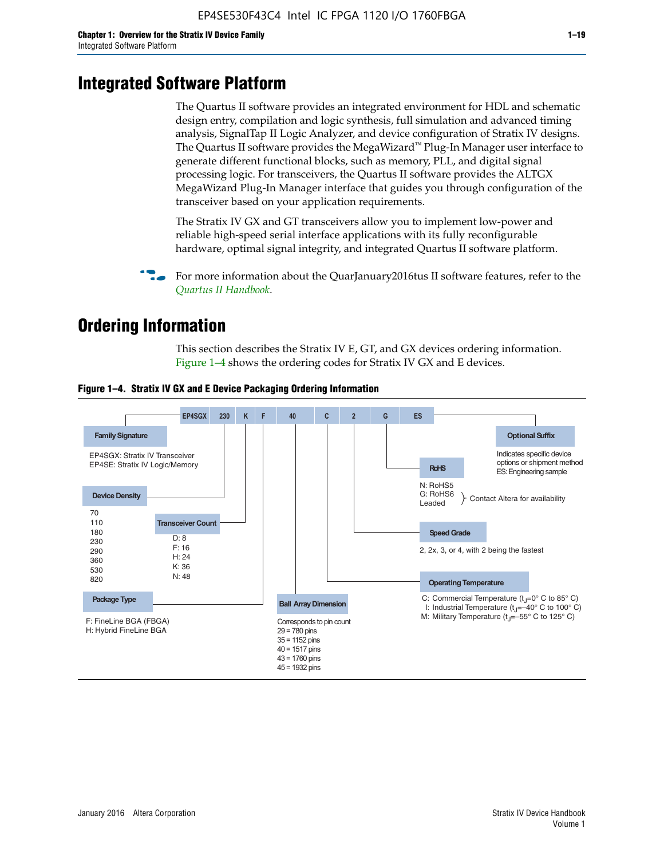# **Integrated Software Platform**

The Quartus II software provides an integrated environment for HDL and schematic design entry, compilation and logic synthesis, full simulation and advanced timing analysis, SignalTap II Logic Analyzer, and device configuration of Stratix IV designs. The Quartus II software provides the MegaWizard<sup> $M$ </sup> Plug-In Manager user interface to generate different functional blocks, such as memory, PLL, and digital signal processing logic. For transceivers, the Quartus II software provides the ALTGX MegaWizard Plug-In Manager interface that guides you through configuration of the transceiver based on your application requirements.

The Stratix IV GX and GT transceivers allow you to implement low-power and reliable high-speed serial interface applications with its fully reconfigurable hardware, optimal signal integrity, and integrated Quartus II software platform.

For more information about the QuarJanuary2016tus II software features, refer to the *[Quartus II Handbook](http://www.altera.com/literature/lit-qts.jsp)*.

# **Ordering Information**

This section describes the Stratix IV E, GT, and GX devices ordering information. Figure 1–4 shows the ordering codes for Stratix IV GX and E devices.



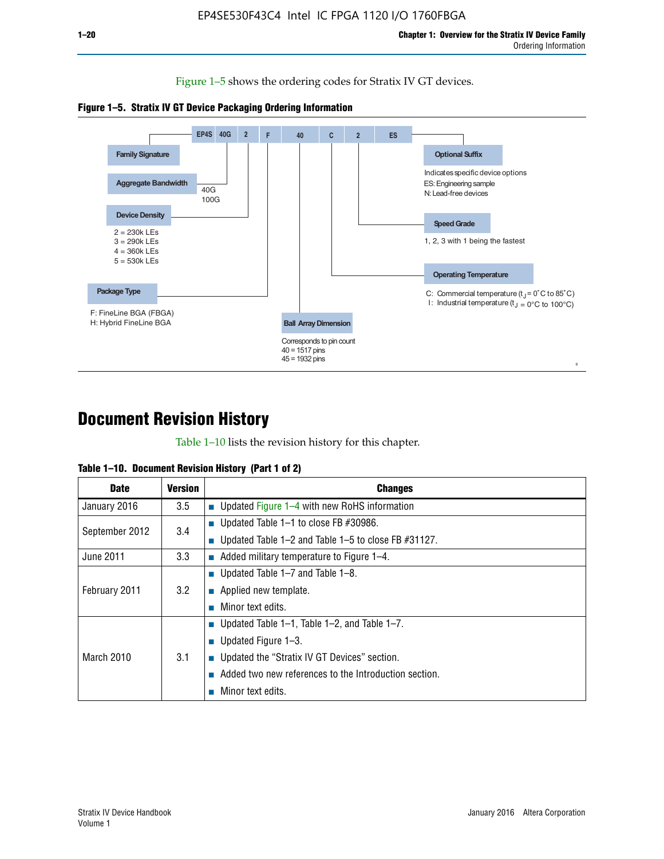Figure 1–5 shows the ordering codes for Stratix IV GT devices.





# **Document Revision History**

Table 1–10 lists the revision history for this chapter.

| Table 1–10. Document Revision History (Part 1 of 2) |  |  |  |  |  |
|-----------------------------------------------------|--|--|--|--|--|
|-----------------------------------------------------|--|--|--|--|--|

| <b>Date</b>       | <b>Version</b> | <b>Changes</b>                                           |
|-------------------|----------------|----------------------------------------------------------|
| January 2016      | 3.5            | ■ Updated Figure $1-4$ with new RoHS information         |
| September 2012    | 3.4            | ■ Updated Table 1–1 to close FB $#30986$ .               |
|                   |                | ■ Updated Table 1–2 and Table 1–5 to close FB $#31127$ . |
| June 2011         | 3.3            | $\blacksquare$ Added military temperature to Figure 1–4. |
| February 2011     | 3.2            | ■ Updated Table $1-7$ and Table $1-8$ .                  |
|                   |                | $\blacksquare$ Applied new template.                     |
|                   |                | Minor text edits.                                        |
| <b>March 2010</b> |                | ■ Updated Table 1–1, Table 1–2, and Table 1–7.           |
|                   | 3.1            | ■ Updated Figure $1-3$ .                                 |
|                   |                | ■ Updated the "Stratix IV GT Devices" section.           |
|                   |                | Added two new references to the Introduction section.    |
|                   |                | Minor text edits.                                        |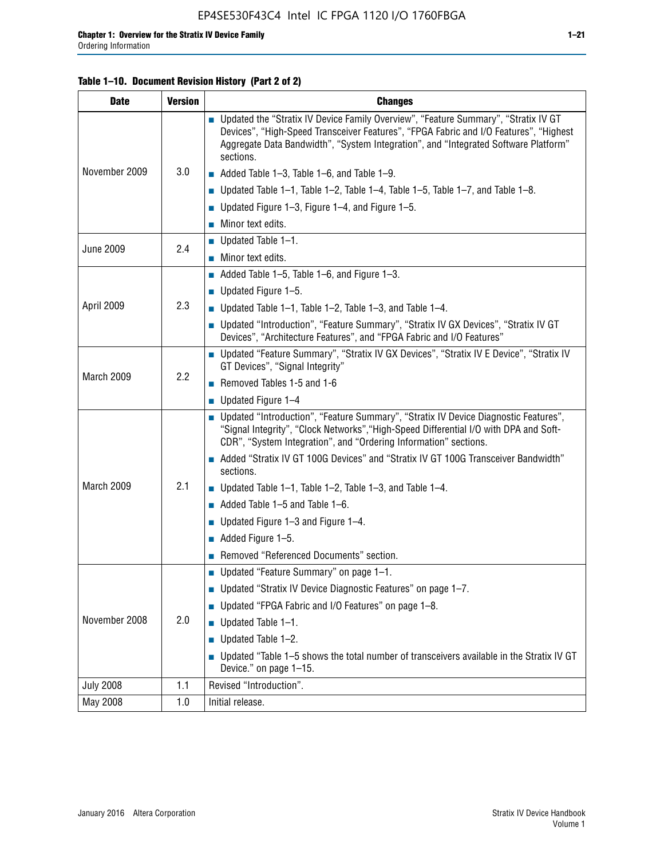#### **Table 1–10. Document Revision History (Part 2 of 2)**

| <b>Date</b>      | <b>Version</b> | <b>Changes</b>                                                                                                                                                                                                                                                                    |  |  |
|------------------|----------------|-----------------------------------------------------------------------------------------------------------------------------------------------------------------------------------------------------------------------------------------------------------------------------------|--|--|
|                  |                | ■ Updated the "Stratix IV Device Family Overview", "Feature Summary", "Stratix IV GT<br>Devices", "High-Speed Transceiver Features", "FPGA Fabric and I/O Features", "Highest<br>Aggregate Data Bandwidth", "System Integration", and "Integrated Software Platform"<br>sections. |  |  |
| November 2009    | 3.0            | $\blacksquare$ Added Table 1-3, Table 1-6, and Table 1-9.                                                                                                                                                                                                                         |  |  |
|                  |                | $\blacksquare$ Updated Table 1-1, Table 1-2, Table 1-4, Table 1-5, Table 1-7, and Table 1-8.                                                                                                                                                                                      |  |  |
|                  |                | ■ Updated Figure 1–3, Figure 1–4, and Figure 1–5.                                                                                                                                                                                                                                 |  |  |
|                  |                | $\blacksquare$ Minor text edits.                                                                                                                                                                                                                                                  |  |  |
|                  | 2.4            | $\blacksquare$ Updated Table 1-1.                                                                                                                                                                                                                                                 |  |  |
| <b>June 2009</b> |                | Minor text edits.                                                                                                                                                                                                                                                                 |  |  |
|                  |                | $\blacksquare$ Added Table 1–5, Table 1–6, and Figure 1–3.                                                                                                                                                                                                                        |  |  |
|                  |                | $\blacksquare$ Updated Figure 1-5.                                                                                                                                                                                                                                                |  |  |
| April 2009       | 2.3            | Updated Table $1-1$ , Table $1-2$ , Table $1-3$ , and Table $1-4$ .                                                                                                                                                                                                               |  |  |
|                  |                | ■ Updated "Introduction", "Feature Summary", "Stratix IV GX Devices", "Stratix IV GT<br>Devices", "Architecture Features", and "FPGA Fabric and I/O Features"                                                                                                                     |  |  |
|                  | 2.2            | ■ Updated "Feature Summary", "Stratix IV GX Devices", "Stratix IV E Device", "Stratix IV<br>GT Devices", "Signal Integrity"                                                                                                                                                       |  |  |
| March 2009       |                | Removed Tables 1-5 and 1-6                                                                                                                                                                                                                                                        |  |  |
|                  |                | Updated Figure 1-4                                                                                                                                                                                                                                                                |  |  |
|                  |                | ■ Updated "Introduction", "Feature Summary", "Stratix IV Device Diagnostic Features",<br>"Signal Integrity", "Clock Networks", "High-Speed Differential I/O with DPA and Soft-<br>CDR", "System Integration", and "Ordering Information" sections.                                |  |  |
|                  |                | Added "Stratix IV GT 100G Devices" and "Stratix IV GT 100G Transceiver Bandwidth"<br>sections.                                                                                                                                                                                    |  |  |
| March 2009       | 2.1            | <b>Updated Table 1–1, Table 1–2, Table 1–3, and Table 1–4.</b>                                                                                                                                                                                                                    |  |  |
|                  |                | $\blacksquare$ Added Table 1-5 and Table 1-6.                                                                                                                                                                                                                                     |  |  |
|                  |                | ■ Updated Figure $1-3$ and Figure $1-4$ .                                                                                                                                                                                                                                         |  |  |
|                  |                | $\blacksquare$ Added Figure 1-5.                                                                                                                                                                                                                                                  |  |  |
|                  |                | Removed "Referenced Documents" section.                                                                                                                                                                                                                                           |  |  |
|                  | 2.0            | Updated "Feature Summary" on page 1-1.                                                                                                                                                                                                                                            |  |  |
|                  |                | ■ Updated "Stratix IV Device Diagnostic Features" on page 1-7.                                                                                                                                                                                                                    |  |  |
| November 2008    |                | Updated "FPGA Fabric and I/O Features" on page 1-8.                                                                                                                                                                                                                               |  |  |
|                  |                | $\blacksquare$ Updated Table 1-1.                                                                                                                                                                                                                                                 |  |  |
|                  |                | Updated Table 1-2.                                                                                                                                                                                                                                                                |  |  |
|                  |                | Updated "Table 1-5 shows the total number of transceivers available in the Stratix IV GT<br>Device." on page 1-15.                                                                                                                                                                |  |  |
| <b>July 2008</b> | 1.1            | Revised "Introduction".                                                                                                                                                                                                                                                           |  |  |
| May 2008         | 1.0            | Initial release.                                                                                                                                                                                                                                                                  |  |  |